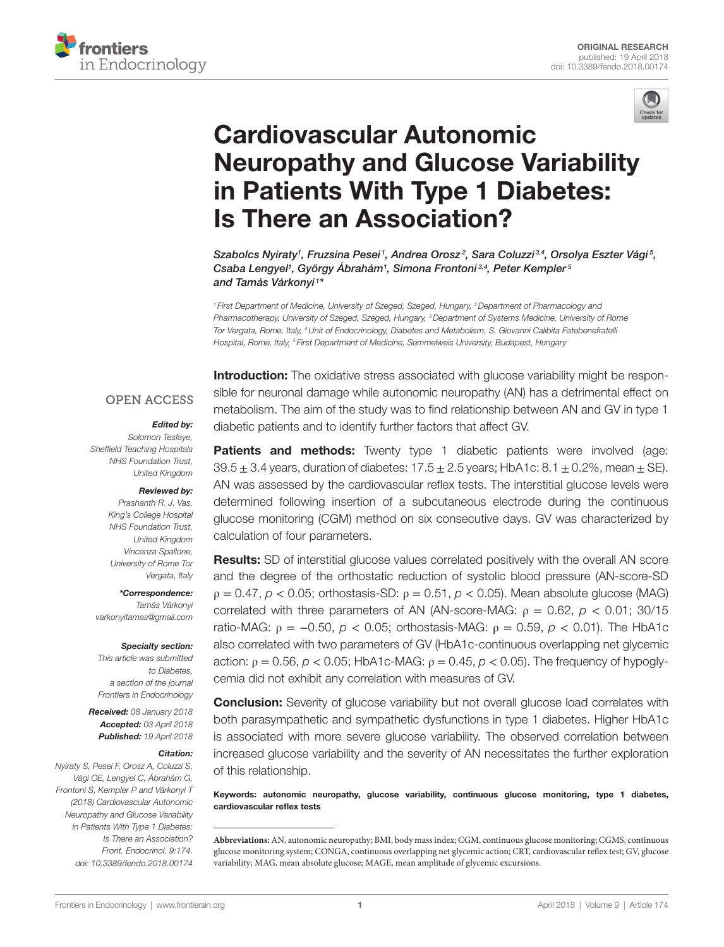



# **Cardiovascular Autonomic Neuropathy and Glucose Variability** [in Patients With Type 1 Diabetes:](https://www.frontiersin.org/Journal/10.3389/fendo.2018.00174/full)  **Is There an Association?**

*Szabolcs Nyiraty1 , Fruzsina Pesei <sup>1</sup> , [Andrea Orosz](https://loop.frontiersin.org/people/419585) <sup>2</sup> , Sara Coluzzi 3,4, Orsolya Eszter Vági <sup>5</sup> , [Csaba Lengyel](https://loop.frontiersin.org/people/418756)1 , György Ábrahám1 , [Simona Frontoni](https://loop.frontiersin.org/people/531207) 3,4, Peter Kempler <sup>5</sup> and [Tamás Várkonyi](https://loop.frontiersin.org/people/510033) <sup>1</sup> \**

<sup>1</sup> First Department of Medicine, University of Szeged, Szeged, Hungary, <sup>2</sup> Department of Pharmacology and *Pharmacotherapy, University of Szeged, Szeged, Hungary, 3Department of Systems Medicine, University of Rome Tor Vergata, Rome, Italy, 4Unit of Endocrinology, Diabetes and Metabolism, S. Giovanni Calibita Fatebenefratelli Hospital, Rome, Italy, 5 First Department of Medicine, Semmelweis University, Budapest, Hungary*

#### **OPEN ACCESS**

#### *Edited by:*

*Solomon Tesfaye, Sheffield Teaching Hospitals NHS Foundation Trust, United Kingdom*

#### *Reviewed by:*

*Prashanth R. J. Vas, King's College Hospital NHS Foundation Trust, United Kingdom Vincenza Spallone, University of Rome Tor Vergata, Italy*

*\*Correspondence: Tamás Várkonyi [varkonyitamas@gmail.com](mailto:varkonyitamas@gmail.com)*

#### *Specialty section:*

*This article was submitted to Diabetes, a section of the journal Frontiers in Endocrinology*

*Received: 08 January 2018 Accepted: 03 April 2018 Published: 19 April 2018*

#### *Citation:*

*Nyiraty S, Pesei F, Orosz A, Coluzzi S, Vági OE, Lengyel C, Ábrahám G, Frontoni S, Kempler P and Várkonyi T (2018) Cardiovascular Autonomic Neuropathy and Glucose Variability in Patients With Type 1 Diabetes: Is There an Association? Front. Endocrinol. 9:174. doi: [10.3389/fendo.2018.00174](https://doi.org/10.3389/fendo.2018.00174)*

**Introduction:** The oxidative stress associated with glucose variability might be responsible for neuronal damage while autonomic neuropathy (AN) has a detrimental effect on metabolism. The aim of the study was to find relationship between AN and GV in type 1 diabetic patients and to identify further factors that affect GV.

**Patients and methods:** Twenty type 1 diabetic patients were involved (age:  $39.5 \pm 3.4$  years, duration of diabetes:  $17.5 \pm 2.5$  years; HbA1c:  $8.1 \pm 0.2$ %, mean  $\pm$  SE). AN was assessed by the cardiovascular reflex tests. The interstitial glucose levels were determined following insertion of a subcutaneous electrode during the continuous glucose monitoring (CGM) method on six consecutive days. GV was characterized by calculation of four parameters.

**Results:** SD of interstitial glucose values correlated positively with the overall AN score and the degree of the orthostatic reduction of systolic blood pressure (AN-score-SD)  $\rho = 0.47$ ,  $\rho < 0.05$ ; orthostasis-SD:  $\rho = 0.51$ ,  $\rho < 0.05$ ). Mean absolute glucose (MAG) correlated with three parameters of AN (AN-score-MAG:  $\rho = 0.62$ ,  $p < 0.01$ ; 30/15 ratio-MAG:  $\rho = -0.50$ ,  $\rho < 0.05$ ; orthostasis-MAG:  $\rho = 0.59$ ,  $\rho < 0.01$ ). The HbA1c also correlated with two parameters of GV (HbA1c-continuous overlapping net glycemic action:  $\rho = 0.56$ ,  $\rho < 0.05$ ; HbA1c-MAG:  $\rho = 0.45$ ,  $\rho < 0.05$ ). The frequency of hypoglycemia did not exhibit any correlation with measures of GV.

**Conclusion:** Severity of glucose variability but not overall glucose load correlates with both parasympathetic and sympathetic dysfunctions in type 1 diabetes. Higher HbA1c is associated with more severe glucose variability. The observed correlation between increased glucose variability and the severity of AN necessitates the further exploration of this relationship.

Keywords: autonomic neuropathy, glucose variability, continuous glucose monitoring, type 1 diabetes, cardiovascular reflex tests

**Abbreviations:** AN, autonomic neuropathy; BMI, body mass index; CGM, continuous glucose monitoring; CGMS, continuous glucose monitoring system; CONGA, continuous overlapping net glycemic action; CRT, cardiovascular reflex test; GV, glucose variability; MAG, mean absolute glucose; MAGE, mean amplitude of glycemic excursions.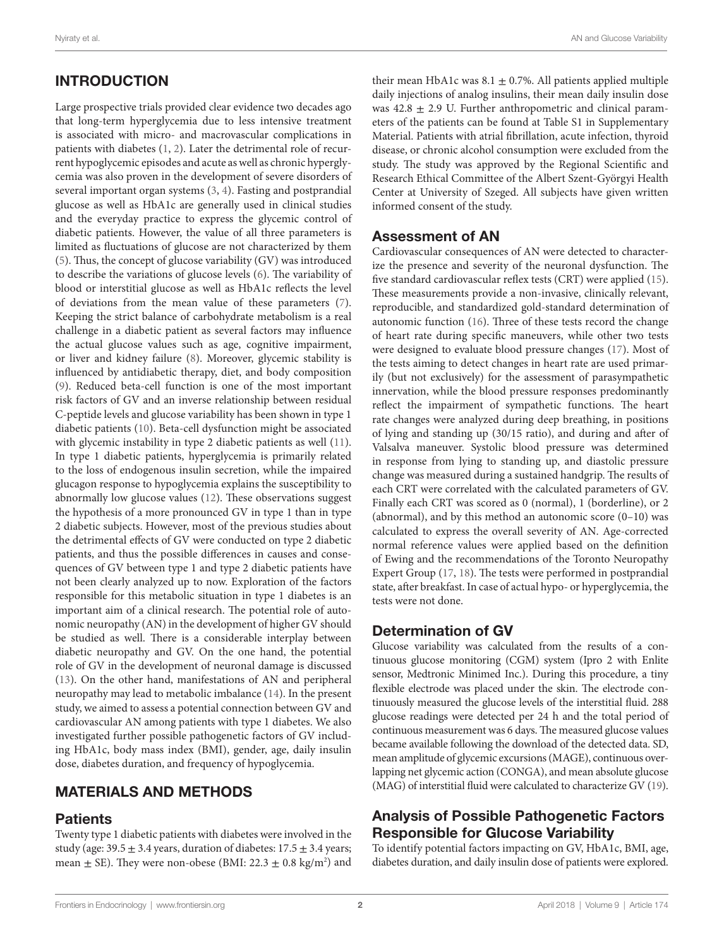# INTRODUCTION

Large prospective trials provided clear evidence two decades ago that long-term hyperglycemia due to less intensive treatment is associated with micro- and macrovascular complications in patients with diabetes ([1](#page-6-0), [2\)](#page-6-1). Later the detrimental role of recurrent hypoglycemic episodes and acute as well as chronic hyperglycemia was also proven in the development of severe disorders of several important organ systems ([3](#page-6-2), [4](#page-6-3)). Fasting and postprandial glucose as well as HbA1c are generally used in clinical studies and the everyday practice to express the glycemic control of diabetic patients. However, the value of all three parameters is limited as fluctuations of glucose are not characterized by them ([5](#page-6-4)). Thus, the concept of glucose variability (GV) was introduced to describe the variations of glucose levels ([6](#page-6-5)). The variability of blood or interstitial glucose as well as HbA1c reflects the level of deviations from the mean value of these parameters [\(7\)](#page-6-6). Keeping the strict balance of carbohydrate metabolism is a real challenge in a diabetic patient as several factors may influence the actual glucose values such as age, cognitive impairment, or liver and kidney failure [\(8](#page-6-7)). Moreover, glycemic stability is influenced by antidiabetic therapy, diet, and body composition ([9](#page-6-8)). Reduced beta-cell function is one of the most important risk factors of GV and an inverse relationship between residual C-peptide levels and glucose variability has been shown in type 1 diabetic patients ([10\)](#page-6-9). Beta-cell dysfunction might be associated with glycemic instability in type 2 diabetic patients as well ([11\)](#page-6-10). In type 1 diabetic patients, hyperglycemia is primarily related to the loss of endogenous insulin secretion, while the impaired glucagon response to hypoglycemia explains the susceptibility to abnormally low glucose values ([12\)](#page-6-11). These observations suggest the hypothesis of a more pronounced GV in type 1 than in type 2 diabetic subjects. However, most of the previous studies about the detrimental effects of GV were conducted on type 2 diabetic patients, and thus the possible differences in causes and consequences of GV between type 1 and type 2 diabetic patients have not been clearly analyzed up to now. Exploration of the factors responsible for this metabolic situation in type 1 diabetes is an important aim of a clinical research. The potential role of autonomic neuropathy (AN) in the development of higher GV should be studied as well. There is a considerable interplay between diabetic neuropathy and GV. On the one hand, the potential role of GV in the development of neuronal damage is discussed ([13\)](#page-6-12). On the other hand, manifestations of AN and peripheral neuropathy may lead to metabolic imbalance [\(14](#page-6-13)). In the present study, we aimed to assess a potential connection between GV and cardiovascular AN among patients with type 1 diabetes. We also investigated further possible pathogenetic factors of GV including HbA1c, body mass index (BMI), gender, age, daily insulin dose, diabetes duration, and frequency of hypoglycemia.

# MATERIALS AND METHODS

### **Patients**

Twenty type 1 diabetic patients with diabetes were involved in the study (age:  $39.5 \pm 3.4$  years, duration of diabetes:  $17.5 \pm 3.4$  years; mean  $\pm$  SE). They were non-obese (BMI: 22.3  $\pm$  0.8 kg/m<sup>2</sup>) and their mean HbA1c was  $8.1 \pm 0.7$ %. All patients applied multiple daily injections of analog insulins, their mean daily insulin dose was  $42.8 \pm 2.9$  U. Further anthropometric and clinical parameters of the patients can be found at Table S1 in Supplementary Material. Patients with atrial fibrillation, acute infection, thyroid disease, or chronic alcohol consumption were excluded from the study. The study was approved by the Regional Scientific and Research Ethical Committee of the Albert Szent-Györgyi Health Center at University of Szeged. All subjects have given written informed consent of the study.

#### Assessment of AN

Cardiovascular consequences of AN were detected to characterize the presence and severity of the neuronal dysfunction. The five standard cardiovascular reflex tests (CRT) were applied [\(15](#page-6-14)). These measurements provide a non-invasive, clinically relevant, reproducible, and standardized gold-standard determination of autonomic function [\(16](#page-6-15)). Three of these tests record the change of heart rate during specific maneuvers, while other two tests were designed to evaluate blood pressure changes ([17](#page-6-16)). Most of the tests aiming to detect changes in heart rate are used primarily (but not exclusively) for the assessment of parasympathetic innervation, while the blood pressure responses predominantly reflect the impairment of sympathetic functions. The heart rate changes were analyzed during deep breathing, in positions of lying and standing up (30/15 ratio), and during and after of Valsalva maneuver. Systolic blood pressure was determined in response from lying to standing up, and diastolic pressure change was measured during a sustained handgrip. The results of each CRT were correlated with the calculated parameters of GV. Finally each CRT was scored as 0 (normal), 1 (borderline), or 2 (abnormal), and by this method an autonomic score (0–10) was calculated to express the overall severity of AN. Age-corrected normal reference values were applied based on the definition of Ewing and the recommendations of the Toronto Neuropathy Expert Group [\(17](#page-6-16), [18\)](#page-6-17). The tests were performed in postprandial state, after breakfast. In case of actual hypo- or hyperglycemia, the tests were not done.

### Determination of GV

Glucose variability was calculated from the results of a continuous glucose monitoring (CGM) system (Ipro 2 with Enlite sensor, Medtronic Minimed Inc.). During this procedure, a tiny flexible electrode was placed under the skin. The electrode continuously measured the glucose levels of the interstitial fluid. 288 glucose readings were detected per 24 h and the total period of continuous measurement was 6 days. The measured glucose values became available following the download of the detected data. SD, mean amplitude of glycemic excursions (MAGE), continuous overlapping net glycemic action (CONGA), and mean absolute glucose (MAG) of interstitial fluid were calculated to characterize GV ([19\)](#page-6-18).

## Analysis of Possible Pathogenetic Factors Responsible for Glucose Variability

To identify potential factors impacting on GV, HbA1c, BMI, age, diabetes duration, and daily insulin dose of patients were explored.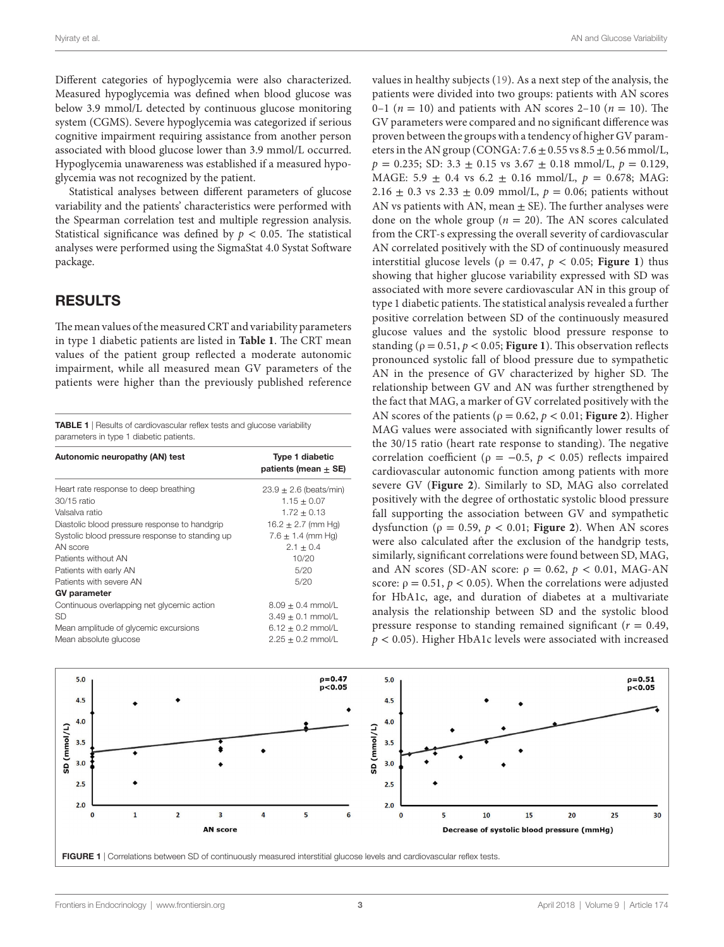Nyiraty et al. AN and Glucose Variability

Different categories of hypoglycemia were also characterized. Measured hypoglycemia was defined when blood glucose was below 3.9 mmol/L detected by continuous glucose monitoring system (CGMS). Severe hypoglycemia was categorized if serious cognitive impairment requiring assistance from another person associated with blood glucose lower than 3.9 mmol/L occurred. Hypoglycemia unawareness was established if a measured hypoglycemia was not recognized by the patient.

Statistical analyses between different parameters of glucose variability and the patients' characteristics were performed with the Spearman correlation test and multiple regression analysis. Statistical significance was defined by  $p < 0.05$ . The statistical analyses were performed using the SigmaStat 4.0 Systat Software package.

#### RESULTS

The mean values of the measured CRT and variability parameters in type 1 diabetic patients are listed in **[Table 1](#page-2-0)**. The CRT mean values of the patient group reflected a moderate autonomic impairment, while all measured mean GV parameters of the patients were higher than the previously published reference

<span id="page-2-0"></span>TABLE 1 | Results of cardiovascular reflex tests and glucose variability parameters in type 1 diabetic patients.

| Autonomic neuropathy (AN) test                  | <b>Type 1 diabetic</b><br>patients (mean $+$ SE) |
|-------------------------------------------------|--------------------------------------------------|
| Heart rate response to deep breathing           | $23.9 \pm 2.6$ (beats/min)                       |
| 30/15 ratio                                     | $1.15 \pm 0.07$                                  |
| Valsalva ratio                                  | $1.72 \pm 0.13$                                  |
| Diastolic blood pressure response to handgrip   | $16.2 \pm 2.7$ (mm Hg)                           |
| Systolic blood pressure response to standing up | $7.6 \pm 1.4$ (mm Hg)                            |
| AN score                                        | $2.1 \pm 0.4$                                    |
| Patients without AN                             | 10/20                                            |
| Patients with early AN                          | 5/20                                             |
| Patients with severe AN                         | 5/20                                             |
| <b>GV</b> parameter                             |                                                  |
| Continuous overlapping net glycemic action      | $8.09 \pm 0.4$ mmol/L                            |
| SD                                              | $3.49 \pm 0.1$ mmol/L                            |
| Mean amplitude of glycemic excursions           | $6.12 \pm 0.2$ mmol/L                            |
| Mean absolute glucose                           | $2.25 + 0.2$ mmol/L                              |

values in healthy subjects [\(19](#page-6-18)). As a next step of the analysis, the patients were divided into two groups: patients with AN scores 0–1 ( $n = 10$ ) and patients with AN scores 2–10 ( $n = 10$ ). The GV parameters were compared and no significant difference was proven between the groups with a tendency of higher GV parameters in the AN group (CONGA:  $7.6 \pm 0.55$  vs  $8.5 \pm 0.56$  mmol/L,  $p = 0.235$ ; SD: 3.3  $\pm$  0.15 vs 3.67  $\pm$  0.18 mmol/L,  $p = 0.129$ , MAGE:  $5.9 \pm 0.4$  vs  $6.2 \pm 0.16$  mmol/L,  $p = 0.678$ ; MAG: 2.16  $\pm$  0.3 vs 2.33  $\pm$  0.09 mmol/L,  $p = 0.06$ ; patients without AN vs patients with AN, mean  $\pm$  SE). The further analyses were done on the whole group ( $n = 20$ ). The AN scores calculated from the CRT-s expressing the overall severity of cardiovascular AN correlated positively with the SD of continuously measured interstitial glucose levels ( $\rho = 0.47$ ,  $p < 0.05$ ; **Figure 1**) thus showing that higher glucose variability expressed with SD was associated with more severe cardiovascular AN in this group of type 1 diabetic patients. The statistical analysis revealed a further positive correlation between SD of the continuously measured glucose values and the systolic blood pressure response to standing ( $\rho = 0.51$ ,  $p < 0.05$ ; **[Figure 1](#page-2-1)**). This observation reflects pronounced systolic fall of blood pressure due to sympathetic AN in the presence of GV characterized by higher SD. The relationship between GV and AN was further strengthened by the fact that MAG, a marker of GV correlated positively with the AN scores of the patients ( $\rho = 0.62$ ,  $p < 0.01$ ; **[Figure 2](#page-3-0)**). Higher MAG values were associated with significantly lower results of the 30/15 ratio (heart rate response to standing). The negative correlation coefficient ( $\rho = -0.5$ ,  $p < 0.05$ ) reflects impaired cardiovascular autonomic function among patients with more severe GV (**[Figure 2](#page-3-0)**). Similarly to SD, MAG also correlated positively with the degree of orthostatic systolic blood pressure fall supporting the association between GV and sympathetic dysfunction ( $\rho = 0.59$ ,  $p < 0.01$ ; **Figure 2**). When AN scores were also calculated after the exclusion of the handgrip tests, similarly, significant correlations were found between SD, MAG, and AN scores (SD-AN score:  $ρ = 0.62$ ,  $p < 0.01$ , MAG-AN score:  $\rho = 0.51$ ,  $p < 0.05$ ). When the correlations were adjusted for HbA1c, age, and duration of diabetes at a multivariate analysis the relationship between SD and the systolic blood pressure response to standing remained significant ( $r = 0.49$ , *p* < 0.05). Higher HbA1c levels were associated with increased



<span id="page-2-1"></span>FIGURE 1 | Correlations between SD of continuously measured interstitial glucose levels and cardiovascular reflex tests.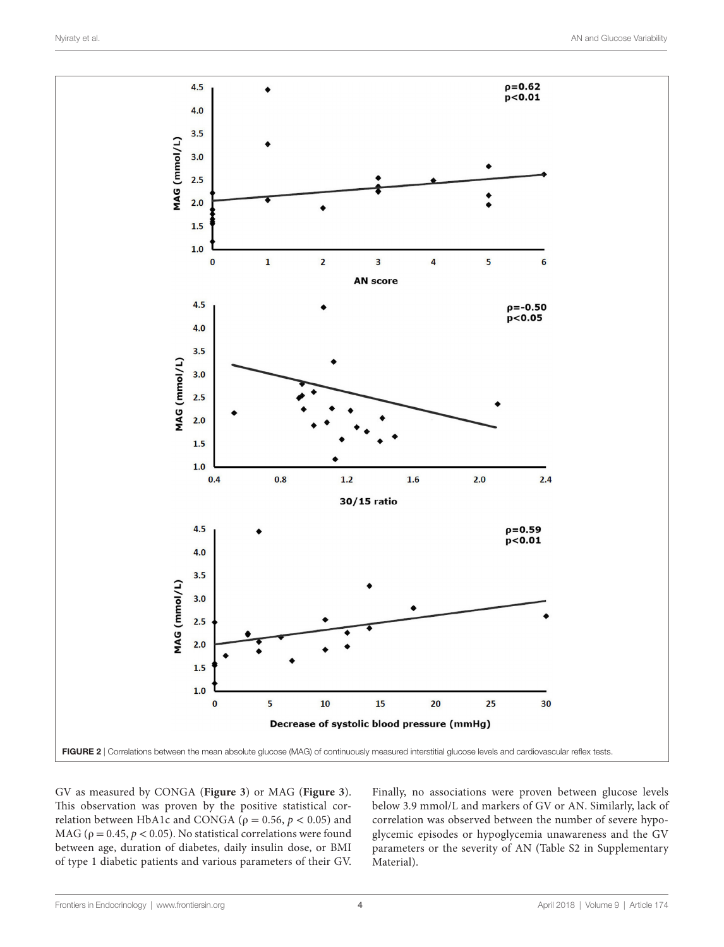

GV as measured by CONGA (**[Figure 3](#page-4-0)**) or MAG (**[Figure 3](#page-4-0)**). This observation was proven by the positive statistical correlation between HbA1c and CONGA ( $\rho = 0.56$ ,  $p < 0.05$ ) and MAG ( $\rho = 0.45$ ,  $p < 0.05$ ). No statistical correlations were found between age, duration of diabetes, daily insulin dose, or BMI of type 1 diabetic patients and various parameters of their GV.

<span id="page-3-0"></span>Finally, no associations were proven between glucose levels below 3.9 mmol/L and markers of GV or AN. Similarly, lack of correlation was observed between the number of severe hypoglycemic episodes or hypoglycemia unawareness and the GV parameters or the severity of AN (Table S2 in Supplementary Material).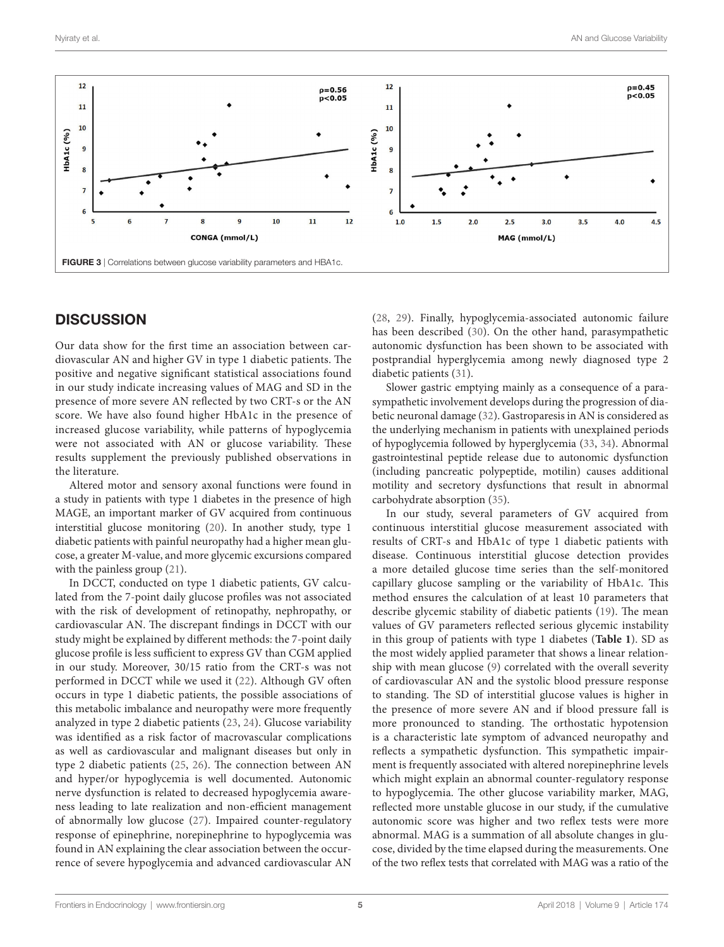

#### <span id="page-4-0"></span>**DISCUSSION**

Our data show for the first time an association between cardiovascular AN and higher GV in type 1 diabetic patients. The positive and negative significant statistical associations found in our study indicate increasing values of MAG and SD in the presence of more severe AN reflected by two CRT-s or the AN score. We have also found higher HbA1c in the presence of increased glucose variability, while patterns of hypoglycemia were not associated with AN or glucose variability. These results supplement the previously published observations in the literature.

Altered motor and sensory axonal functions were found in a study in patients with type 1 diabetes in the presence of high MAGE, an important marker of GV acquired from continuous interstitial glucose monitoring [\(20](#page-6-19)). In another study, type 1 diabetic patients with painful neuropathy had a higher mean glucose, a greater M-value, and more glycemic excursions compared with the painless group [\(21](#page-6-20)).

In DCCT, conducted on type 1 diabetic patients, GV calculated from the 7-point daily glucose profiles was not associated with the risk of development of retinopathy, nephropathy, or cardiovascular AN. The discrepant findings in DCCT with our study might be explained by different methods: the 7-point daily glucose profile is less sufficient to express GV than CGM applied in our study. Moreover, 30/15 ratio from the CRT-s was not performed in DCCT while we used it ([22\)](#page-6-21). Although GV often occurs in type 1 diabetic patients, the possible associations of this metabolic imbalance and neuropathy were more frequently analyzed in type 2 diabetic patients [\(23,](#page-6-22) [24](#page-6-23)). Glucose variability was identified as a risk factor of macrovascular complications as well as cardiovascular and malignant diseases but only in type 2 diabetic patients ([25,](#page-6-24) [26\)](#page-6-25). The connection between AN and hyper/or hypoglycemia is well documented. Autonomic nerve dysfunction is related to decreased hypoglycemia awareness leading to late realization and non-efficient management of abnormally low glucose ([27\)](#page-6-26). Impaired counter-regulatory response of epinephrine, norepinephrine to hypoglycemia was found in AN explaining the clear association between the occurrence of severe hypoglycemia and advanced cardiovascular AN

[\(28,](#page-6-27) [29](#page-6-28)). Finally, hypoglycemia-associated autonomic failure has been described ([30](#page-6-29)). On the other hand, parasympathetic autonomic dysfunction has been shown to be associated with postprandial hyperglycemia among newly diagnosed type 2 diabetic patients ([31\)](#page-7-0).

Slower gastric emptying mainly as a consequence of a parasympathetic involvement develops during the progression of diabetic neuronal damage ([32\)](#page-7-1). Gastroparesis in AN is considered as the underlying mechanism in patients with unexplained periods of hypoglycemia followed by hyperglycemia [\(33](#page-7-2), [34](#page-7-3)). Abnormal gastrointestinal peptide release due to autonomic dysfunction (including pancreatic polypeptide, motilin) causes additional motility and secretory dysfunctions that result in abnormal carbohydrate absorption ([35\)](#page-7-4).

In our study, several parameters of GV acquired from continuous interstitial glucose measurement associated with results of CRT-s and HbA1c of type 1 diabetic patients with disease. Continuous interstitial glucose detection provides a more detailed glucose time series than the self-monitored capillary glucose sampling or the variability of HbA1c. This method ensures the calculation of at least 10 parameters that describe glycemic stability of diabetic patients [\(19\)](#page-6-18). The mean values of GV parameters reflected serious glycemic instability in this group of patients with type 1 diabetes (**[Table 1](#page-2-0)**). SD as the most widely applied parameter that shows a linear relationship with mean glucose [\(9\)](#page-6-8) correlated with the overall severity of cardiovascular AN and the systolic blood pressure response to standing. The SD of interstitial glucose values is higher in the presence of more severe AN and if blood pressure fall is more pronounced to standing. The orthostatic hypotension is a characteristic late symptom of advanced neuropathy and reflects a sympathetic dysfunction. This sympathetic impairment is frequently associated with altered norepinephrine levels which might explain an abnormal counter-regulatory response to hypoglycemia. The other glucose variability marker, MAG, reflected more unstable glucose in our study, if the cumulative autonomic score was higher and two reflex tests were more abnormal. MAG is a summation of all absolute changes in glucose, divided by the time elapsed during the measurements. One of the two reflex tests that correlated with MAG was a ratio of the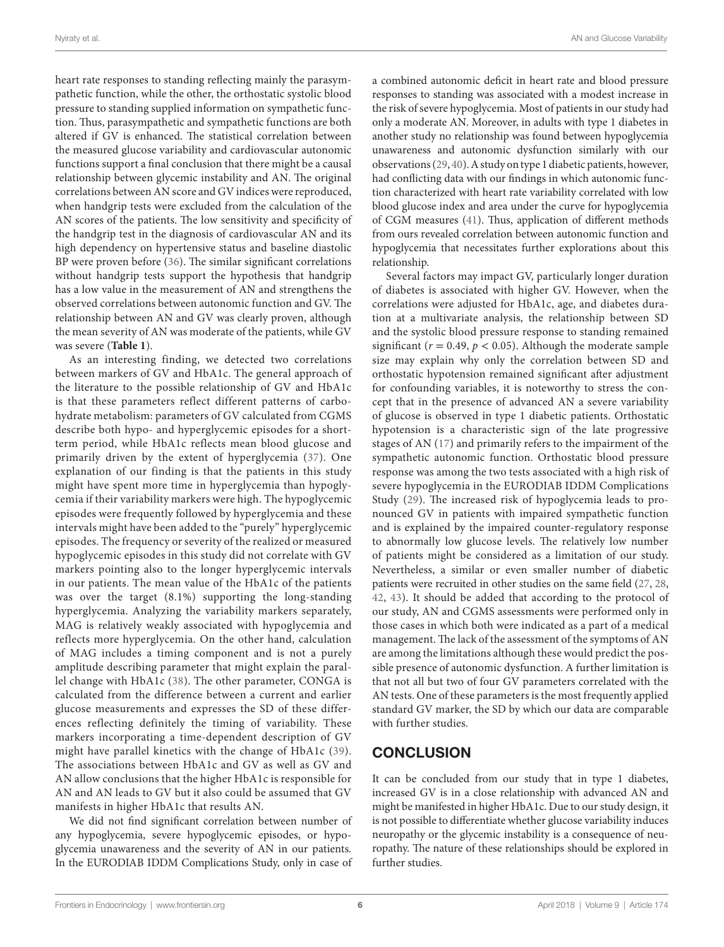heart rate responses to standing reflecting mainly the parasympathetic function, while the other, the orthostatic systolic blood pressure to standing supplied information on sympathetic function. Thus, parasympathetic and sympathetic functions are both altered if GV is enhanced. The statistical correlation between the measured glucose variability and cardiovascular autonomic functions support a final conclusion that there might be a causal relationship between glycemic instability and AN. The original correlations between AN score and GV indices were reproduced, when handgrip tests were excluded from the calculation of the AN scores of the patients. The low sensitivity and specificity of the handgrip test in the diagnosis of cardiovascular AN and its high dependency on hypertensive status and baseline diastolic BP were proven before [\(36](#page-7-5)). The similar significant correlations without handgrip tests support the hypothesis that handgrip has a low value in the measurement of AN and strengthens the observed correlations between autonomic function and GV. The relationship between AN and GV was clearly proven, although the mean severity of AN was moderate of the patients, while GV was severe (**[Table 1](#page-2-0)**).

As an interesting finding, we detected two correlations between markers of GV and HbA1c. The general approach of the literature to the possible relationship of GV and HbA1c is that these parameters reflect different patterns of carbohydrate metabolism: parameters of GV calculated from CGMS describe both hypo- and hyperglycemic episodes for a shortterm period, while HbA1c reflects mean blood glucose and primarily driven by the extent of hyperglycemia ([37\)](#page-7-6). One explanation of our finding is that the patients in this study might have spent more time in hyperglycemia than hypoglycemia if their variability markers were high. The hypoglycemic episodes were frequently followed by hyperglycemia and these intervals might have been added to the "purely" hyperglycemic episodes. The frequency or severity of the realized or measured hypoglycemic episodes in this study did not correlate with GV markers pointing also to the longer hyperglycemic intervals in our patients. The mean value of the HbA1c of the patients was over the target (8.1%) supporting the long-standing hyperglycemia. Analyzing the variability markers separately, MAG is relatively weakly associated with hypoglycemia and reflects more hyperglycemia. On the other hand, calculation of MAG includes a timing component and is not a purely amplitude describing parameter that might explain the parallel change with HbA1c ([38](#page-7-7)). The other parameter, CONGA is calculated from the difference between a current and earlier glucose measurements and expresses the SD of these differences reflecting definitely the timing of variability. These markers incorporating a time-dependent description of GV might have parallel kinetics with the change of HbA1c ([39\)](#page-7-8). The associations between HbA1c and GV as well as GV and AN allow conclusions that the higher HbA1c is responsible for AN and AN leads to GV but it also could be assumed that GV manifests in higher HbA1c that results AN.

We did not find significant correlation between number of any hypoglycemia, severe hypoglycemic episodes, or hypoglycemia unawareness and the severity of AN in our patients. In the EURODIAB IDDM Complications Study, only in case of a combined autonomic deficit in heart rate and blood pressure responses to standing was associated with a modest increase in the risk of severe hypoglycemia. Most of patients in our study had only a moderate AN. Moreover, in adults with type 1 diabetes in another study no relationship was found between hypoglycemia unawareness and autonomic dysfunction similarly with our observations ([29](#page-6-28), [40\)](#page-7-9). A study on type 1 diabetic patients, however, had conflicting data with our findings in which autonomic function characterized with heart rate variability correlated with low blood glucose index and area under the curve for hypoglycemia of CGM measures ([41\)](#page-7-10). Thus, application of different methods from ours revealed correlation between autonomic function and hypoglycemia that necessitates further explorations about this relationship.

Several factors may impact GV, particularly longer duration of diabetes is associated with higher GV. However, when the correlations were adjusted for HbA1c, age, and diabetes duration at a multivariate analysis, the relationship between SD and the systolic blood pressure response to standing remained significant ( $r = 0.49$ ,  $p < 0.05$ ). Although the moderate sample size may explain why only the correlation between SD and orthostatic hypotension remained significant after adjustment for confounding variables, it is noteworthy to stress the concept that in the presence of advanced AN a severe variability of glucose is observed in type 1 diabetic patients. Orthostatic hypotension is a characteristic sign of the late progressive stages of AN ([17\)](#page-6-16) and primarily refers to the impairment of the sympathetic autonomic function. Orthostatic blood pressure response was among the two tests associated with a high risk of severe hypoglycemia in the EURODIAB IDDM Complications Study ([29](#page-6-28)). The increased risk of hypoglycemia leads to pronounced GV in patients with impaired sympathetic function and is explained by the impaired counter-regulatory response to abnormally low glucose levels. The relatively low number of patients might be considered as a limitation of our study. Nevertheless, a similar or even smaller number of diabetic patients were recruited in other studies on the same field [\(27](#page-6-26), [28,](#page-6-27) [42](#page-7-11), [43](#page-7-12)). It should be added that according to the protocol of our study, AN and CGMS assessments were performed only in those cases in which both were indicated as a part of a medical management. The lack of the assessment of the symptoms of AN are among the limitations although these would predict the possible presence of autonomic dysfunction. A further limitation is that not all but two of four GV parameters correlated with the AN tests. One of these parameters is the most frequently applied standard GV marker, the SD by which our data are comparable with further studies.

### **CONCLUSION**

It can be concluded from our study that in type 1 diabetes, increased GV is in a close relationship with advanced AN and might be manifested in higher HbA1c. Due to our study design, it is not possible to differentiate whether glucose variability induces neuropathy or the glycemic instability is a consequence of neuropathy. The nature of these relationships should be explored in further studies.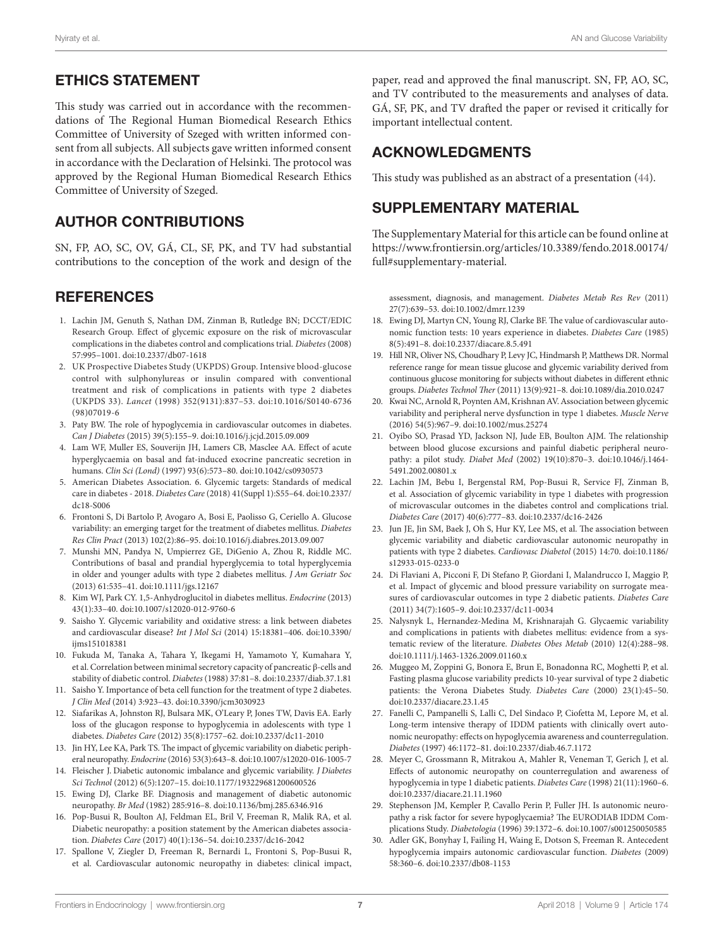### ETHICS STATEMENT

This study was carried out in accordance with the recommendations of The Regional Human Biomedical Research Ethics Committee of University of Szeged with written informed consent from all subjects. All subjects gave written informed consent in accordance with the Declaration of Helsinki. The protocol was approved by the Regional Human Biomedical Research Ethics Committee of University of Szeged.

## AUTHOR CONTRIBUTIONS

SN, FP, AO, SC, OV, GÁ, CL, SF, PK, and TV had substantial contributions to the conception of the work and design of the

### **REFERENCES**

- <span id="page-6-0"></span>1. Lachin JM, Genuth S, Nathan DM, Zinman B, Rutledge BN; DCCT/EDIC Research Group. Effect of glycemic exposure on the risk of microvascular complications in the diabetes control and complications trial. *Diabetes* (2008) 57:995–1001. doi[:10.2337/db07-1618](https://doi.org/10.2337/db07-1618)
- <span id="page-6-1"></span>2. UK Prospective Diabetes Study (UKPDS) Group. Intensive blood-glucose control with sulphonylureas or insulin compared with conventional treatment and risk of complications in patients with type 2 diabetes (UKPDS 33). *Lancet* (1998) 352(9131):837–53. doi:[10.1016/S0140-6736](https://doi.org/10.1016/S0140-6736
(98)07019-6) [\(98\)07019-6](https://doi.org/10.1016/S0140-6736
(98)07019-6)
- <span id="page-6-2"></span>3. Paty BW. The role of hypoglycemia in cardiovascular outcomes in diabetes. *Can J Diabetes* (2015) 39(5):155–9. doi[:10.1016/j.jcjd.2015.09.009](https://doi.org/10.1016/j.jcjd.2015.09.009)
- <span id="page-6-3"></span>4. Lam WF, Muller ES, Souverijn JH, Lamers CB, Masclee AA. Effect of acute hyperglycaemia on basal and fat-induced exocrine pancreatic secretion in humans. *Clin Sci (Lond)* (1997) 93(6):573–80. doi:[10.1042/cs0930573](https://doi.org/10.1042/cs0930573)
- <span id="page-6-4"></span>5. American Diabetes Association. 6. Glycemic targets: Standards of medical care in diabetes - 2018. *Diabetes Care* (2018) 41(Suppl 1):S55–64. doi[:10.2337/](https://doi.org/10.2337/dc18-S006) [dc18-S006](https://doi.org/10.2337/dc18-S006)
- <span id="page-6-5"></span>6. Frontoni S, Di Bartolo P, Avogaro A, Bosi E, Paolisso G, Ceriello A. Glucose variability: an emerging target for the treatment of diabetes mellitus. *Diabetes Res Clin Pract* (2013) 102(2):86–95. doi[:10.1016/j.diabres.2013.09.007](https://doi.org/10.1016/j.diabres.2013.09.007)
- <span id="page-6-6"></span>7. Munshi MN, Pandya N, Umpierrez GE, DiGenio A, Zhou R, Riddle MC. Contributions of basal and prandial hyperglycemia to total hyperglycemia in older and younger adults with type 2 diabetes mellitus. *J Am Geriatr Soc* (2013) 61:535–41. doi[:10.1111/jgs.12167](https://doi.org/10.1111/jgs.12167)
- <span id="page-6-7"></span>8. Kim WJ, Park CY. 1,5-Anhydroglucitol in diabetes mellitus. *Endocrine* (2013) 43(1):33–40. doi[:10.1007/s12020-012-9760-6](https://doi.org/10.1007/s12020-012-9760-6)
- <span id="page-6-8"></span>9. Saisho Y. Glycemic variability and oxidative stress: a link between diabetes and cardiovascular disease? *Int J Mol Sci* (2014) 15:18381–406. doi[:10.3390/](https://doi.org/10.3390/ijms151018381) iims151018381
- <span id="page-6-9"></span>10. Fukuda M, Tanaka A, Tahara Y, Ikegami H, Yamamoto Y, Kumahara Y, et al. Correlation between minimal secretory capacity of pancreatic β-cells and stability of diabetic control. *Diabetes* (1988) 37:81–8. doi[:10.2337/diab.37.1.81](https://doi.org/10.2337/diab.37.1.81)
- <span id="page-6-10"></span>11. Saisho Y. Importance of beta cell function for the treatment of type 2 diabetes. *J Clin Med* (2014) 3:923–43. doi:[10.3390/jcm3030923](https://doi.org/10.3390/jcm3030923)
- <span id="page-6-11"></span>12. Siafarikas A, Johnston RJ, Bulsara MK, O'Leary P, Jones TW, Davis EA. Early loss of the glucagon response to hypoglycemia in adolescents with type 1 diabetes. *Diabetes Care* (2012) 35(8):1757–62. doi[:10.2337/dc11-2010](https://doi.org/10.2337/dc11-2010)
- <span id="page-6-12"></span>13. Jin HY, Lee KA, Park TS. The impact of glycemic variability on diabetic peripheral neuropathy. *Endocrine* (2016) 53(3):643–8. doi:[10.1007/s12020-016-1005-7](https://doi.org/10.1007/s12020-
016-1005-7)
- <span id="page-6-13"></span>14. Fleischer J. Diabetic autonomic imbalance and glycemic variability. *J Diabetes Sci Technol* (2012) 6(5):1207–15. doi[:10.1177/193229681200600526](https://doi.org/10.1177/193229681200600526)
- <span id="page-6-14"></span>15. Ewing DJ, Clarke BF. Diagnosis and management of diabetic autonomic neuropathy. *Br Med* (1982) 285:916–8. doi[:10.1136/bmj.285.6346.916](https://doi.org/10.1136/bmj.285.6346.916)
- <span id="page-6-15"></span>16. Pop-Busui R, Boulton AJ, Feldman EL, Bril V, Freeman R, Malik RA, et al. Diabetic neuropathy: a position statement by the American diabetes association. *Diabetes Care* (2017) 40(1):136–54. doi[:10.2337/dc16-2042](https://doi.org/10.2337/dc16-2042)
- <span id="page-6-16"></span>17. Spallone V, Ziegler D, Freeman R, Bernardi L, Frontoni S, Pop-Busui R, et al. Cardiovascular autonomic neuropathy in diabetes: clinical impact,

paper, read and approved the final manuscript. SN, FP, AO, SC, and TV contributed to the measurements and analyses of data. GÁ, SF, PK, and TV drafted the paper or revised it critically for important intellectual content.

## ACKNOWLEDGMENTS

This study was published as an abstract of a presentation ([44](#page-7-13)).

#### SUPPLEMENTARY MATERIAL

The Supplementary Material for this article can be found online at [https://www.frontiersin.org/articles/10.3389/fendo.2018.00174/](https://www.frontiersin.org/articles/10.3389/fendo.2018.00174/full#supplementary-material) [full#supplementary-material.](https://www.frontiersin.org/articles/10.3389/fendo.2018.00174/full#supplementary-material)

<span id="page-6-17"></span>assessment, diagnosis, and management. *Diabetes Metab Res Rev* (2011) 27(7):639–53. doi:[10.1002/dmrr.1239](https://doi.org/10.1002/dmrr.1239) 

- 18. Ewing DJ, Martyn CN, Young RJ, Clarke BF. The value of cardiovascular autonomic function tests: 10 years experience in diabetes. *Diabetes Care* (1985) 8(5):491–8. doi[:10.2337/diacare.8.5.491](https://doi.org/10.2337/diacare.8.5.491)
- <span id="page-6-18"></span>19. Hill NR, Oliver NS, Choudhary P, Levy JC, Hindmarsh P, Matthews DR. Normal reference range for mean tissue glucose and glycemic variability derived from continuous glucose monitoring for subjects without diabetes in different ethnic groups. *Diabetes Technol Ther* (2011) 13(9):921–8. doi[:10.1089/dia.2010.0247](https://doi.org/10.1089/dia.2010.0247)
- <span id="page-6-19"></span>20. Kwai NC, Arnold R, Poynten AM, Krishnan AV. Association between glycemic variability and peripheral nerve dysfunction in type 1 diabetes. *Muscle Nerve* (2016) 54(5):967–9. doi[:10.1002/mus.25274](https://doi.org/10.1002/mus.25274)
- <span id="page-6-20"></span>21. Oyibo SO, Prasad YD, Jackson NJ, Jude EB, Boulton AJM. The relationship between blood glucose excursions and painful diabetic peripheral neuropathy: a pilot study. *Diabet Med* (2002) 19(10):870–3. doi[:10.1046/j.1464-](https://doi.org/10.1046/j.1464-
5491.2002.00801.x) [5491.2002.00801.x](https://doi.org/10.1046/j.1464-
5491.2002.00801.x)
- <span id="page-6-21"></span>22. Lachin JM, Bebu I, Bergenstal RM, Pop-Busui R, Service FJ, Zinman B, et al. Association of glycemic variability in type 1 diabetes with progression of microvascular outcomes in the diabetes control and complications trial. *Diabetes Care* (2017) 40(6):777–83. doi[:10.2337/dc16-2426](https://doi.org/10.2337/dc16-2426)
- <span id="page-6-22"></span>23. Jun JE, Jin SM, Baek J, Oh S, Hur KY, Lee MS, et al. The association between glycemic variability and diabetic cardiovascular autonomic neuropathy in patients with type 2 diabetes. *Cardiovasc Diabetol* (2015) 14:70. doi[:10.1186/](https://doi.org/10.1186/s12933-015-0233-0) [s12933-015-0233-0](https://doi.org/10.1186/s12933-015-0233-0)
- <span id="page-6-23"></span>24. Di Flaviani A, Picconi F, Di Stefano P, Giordani I, Malandrucco I, Maggio P, et al. Impact of glycemic and blood pressure variability on surrogate measures of cardiovascular outcomes in type 2 diabetic patients. *Diabetes Care* (2011) 34(7):1605–9. doi[:10.2337/dc11-0034](https://doi.org/10.2337/dc11-0034)
- <span id="page-6-24"></span>25. Nalysnyk L, Hernandez-Medina M, Krishnarajah G. Glycaemic variability and complications in patients with diabetes mellitus: evidence from a systematic review of the literature. *Diabetes Obes Metab* (2010) 12(4):288–98. doi:[10.1111/j.1463-1326.2009.01160.x](https://doi.org/10.1111/j.1463-1326.2009.01160.x)
- <span id="page-6-25"></span>26. Muggeo M, Zoppini G, Bonora E, Brun E, Bonadonna RC, Moghetti P, et al. Fasting plasma glucose variability predicts 10-year survival of type 2 diabetic patients: the Verona Diabetes Study. *Diabetes Care* (2000) 23(1):45–50. doi:[10.2337/diacare.23.1.45](https://doi.org/10.2337/diacare.23.1.45)
- <span id="page-6-26"></span>27. Fanelli C, Pampanelli S, Lalli C, Del Sindaco P, Ciofetta M, Lepore M, et al. Long-term intensive therapy of IDDM patients with clinically overt autonomic neuropathy: effects on hypoglycemia awareness and counterregulation. *Diabetes* (1997) 46:1172–81. doi[:10.2337/diab.46.7.1172](https://doi.org/10.2337/diab.46.7.1172)
- <span id="page-6-27"></span>28. Meyer C, Grossmann R, Mitrakou A, Mahler R, Veneman T, Gerich J, et al. Effects of autonomic neuropathy on counterregulation and awareness of hypoglycemia in type 1 diabetic patients. *Diabetes Care* (1998) 21(11):1960–6. doi:[10.2337/diacare.21.11.1960](https://doi.org/10.2337/diacare.21.11.1960)
- <span id="page-6-28"></span>29. Stephenson JM, Kempler P, Cavallo Perin P, Fuller JH. Is autonomic neuropathy a risk factor for severe hypoglycaemia? The EURODIAB IDDM Complications Study. *Diabetologia* (1996) 39:1372–6. doi:[10.1007/s001250050585](https://doi.org/10.1007/s001250050585)
- <span id="page-6-29"></span>30. Adler GK, Bonyhay I, Failing H, Waing E, Dotson S, Freeman R. Antecedent hypoglycemia impairs autonomic cardiovascular function. *Diabetes* (2009) 58:360–6. doi[:10.2337/db08-1153](https://doi.org/10.2337/db08-1153)